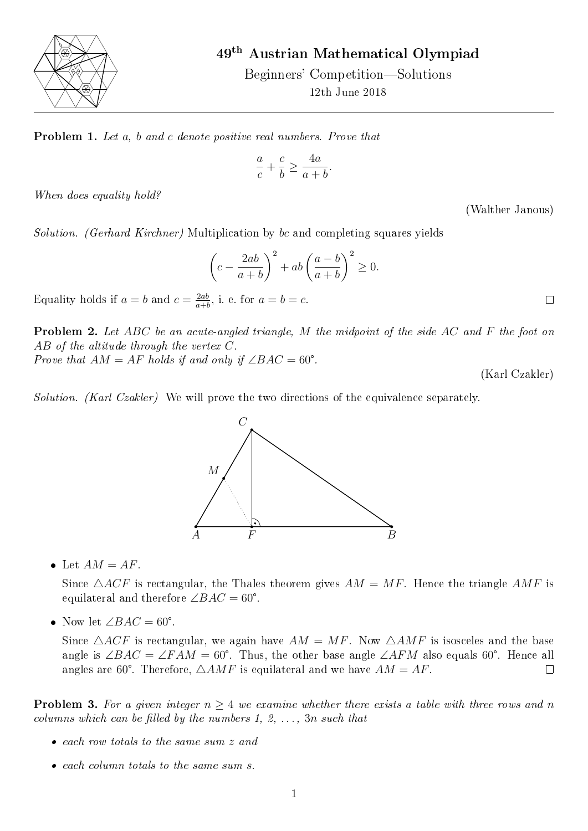

49th Austrian Mathematical Olympiad

Beginners' Competition—Solutions 12th June 2018

Problem 1. Let a, b and c denote positive real numbers. Prove that

$$
\frac{a}{c}+\frac{c}{b}\geq \frac{4a}{a+b}.
$$

When does equality hold?

(Walther Janous)

Solution. (Gerhard Kirchner) Multiplication by bc and completing squares yields

$$
\left(c - \frac{2ab}{a+b}\right)^2 + ab\left(\frac{a-b}{a+b}\right)^2 \ge 0.
$$

Equality holds if  $a = b$  and  $c = \frac{2ab}{a+b}$  $\frac{2ab}{a+b}$ , i. e. for  $a=b=c$ .

**Problem 2.** Let ABC be an acute-angled triangle, M the midpoint of the side AC and F the foot on AB of the altitude through the vertex C.

Prove that  $AM = AF$  holds if and only if  $\angle BAC = 60^{\circ}$ .

(Karl Czakler)

 $\Box$ 

Solution. (Karl Czakler) We will prove the two directions of the equivalence separately.



• Let  $AM = AF$ .

Since  $\triangle ACF$  is rectangular, the Thales theorem gives  $AM = MF$ . Hence the triangle  $AMF$  is equilateral and therefore  $\angle BAC = 60^{\circ}$ .

• Now let  $\angle BAC = 60^{\circ}$ .

Since  $\triangle ACF$  is rectangular, we again have  $AM = MF$ . Now  $\triangle AMF$  is isosceles and the base angle is ∠BAC = ∠FAM = 60°. Thus, the other base angle ∠AFM also equals 60°. Hence all angles are 60°. Therefore,  $\triangle AMF$  is equilateral and we have  $AM = AF$ .  $\Box$ 

**Problem 3.** For a given integer  $n \geq 4$  we examine whether there exists a table with three rows and n columns which can be filled by the numbers 1, 2,  $\ldots$ , 3n such that

- each row totals to the same sum z and
- each column totals to the same sum s.